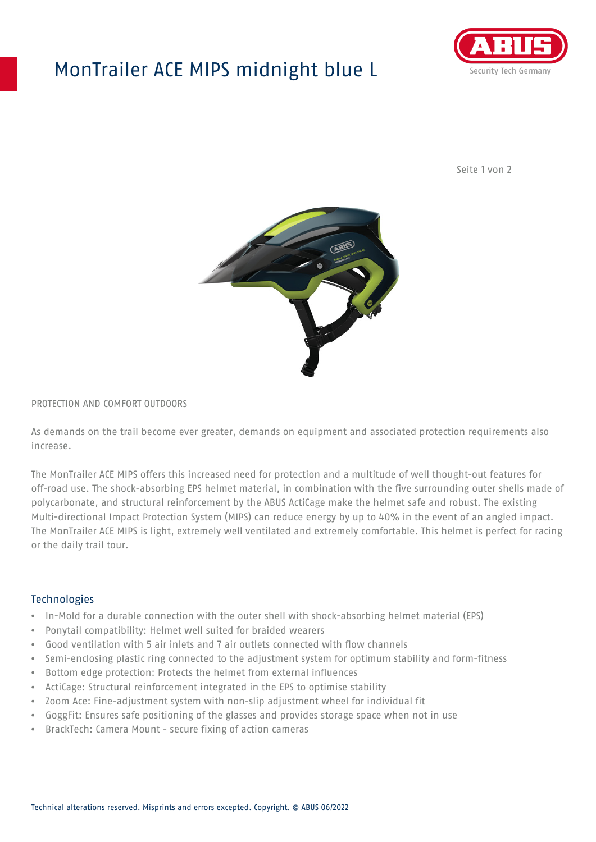## MonTrailer ACE MIPS midnight blue L



Seite 1 von 2



#### PROTECTION AND COMFORT OUTDOORS

As demands on the trail become ever greater, demands on equipment and associated protection requirements also increase.

The MonTrailer ACE MIPS offers this increased need for protection and a multitude of well thought-out features for off-road use. The shock-absorbing EPS helmet material, in combination with the five surrounding outer shells made of polycarbonate, and structural reinforcement by the ABUS ActiCage make the helmet safe and robust. The existing Multi-directional Impact Protection System (MIPS) can reduce energy by up to 40% in the event of an angled impact. The MonTrailer ACE MIPS is light, extremely well ventilated and extremely comfortable. This helmet is perfect for racing or the daily trail tour.

### **Technologies**

- In-Mold for a durable connection with the outer shell with shock-absorbing helmet material (EPS)
- Ponytail compatibility: Helmet well suited for braided wearers
- Good ventilation with 5 air inlets and 7 air outlets connected with flow channels
- Semi-enclosing plastic ring connected to the adjustment system for optimum stability and form-fitness
- Bottom edge protection: Protects the helmet from external influences
- ActiCage: Structural reinforcement integrated in the EPS to optimise stability
- Zoom Ace: Fine-adjustment system with non-slip adjustment wheel for individual fit
- GoggFit: Ensures safe positioning of the glasses and provides storage space when not in use
- BrackTech: Camera Mount secure fixing of action cameras